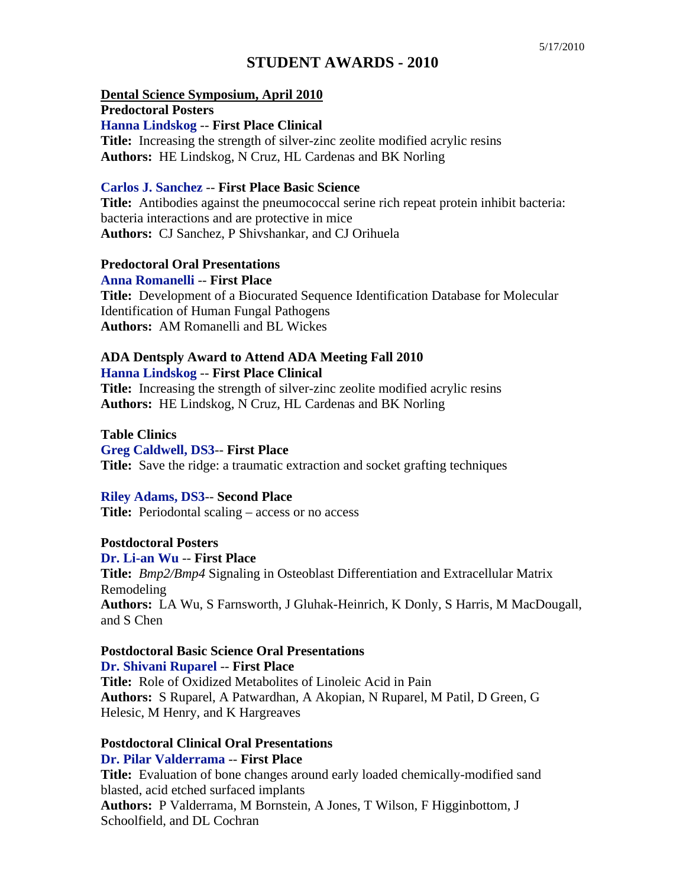# **STUDENT AWARDS - 2010**

**Dental Science Symposium, April 2010**

**Predoctoral Posters** 

**Hanna Lindskog** -- **First Place Clinical**

**Title:** Increasing the strength of silver-zinc zeolite modified acrylic resins **Authors:** HE Lindskog, N Cruz, HL Cardenas and BK Norling

### **Carlos J. Sanchez** -- **First Place Basic Science**

**Title:** Antibodies against the pneumococcal serine rich repeat protein inhibit bacteria: bacteria interactions and are protective in mice **Authors:** CJ Sanchez, P Shivshankar, and CJ Orihuela

### **Predoctoral Oral Presentations**

**Anna Romanelli** -- **First Place**

**Title:** Development of a Biocurated Sequence Identification Database for Molecular Identification of Human Fungal Pathogens **Authors:** AM Romanelli and BL Wickes

#### **ADA Dentsply Award to Attend ADA Meeting Fall 2010 Hanna Lindskog** -- **First Place Clinical**

**Title:** Increasing the strength of silver-zinc zeolite modified acrylic resins **Authors:** HE Lindskog, N Cruz, HL Cardenas and BK Norling

### **Table Clinics**

**Greg Caldwell, DS3**-- **First Place**

**Title:** Save the ridge: a traumatic extraction and socket grafting techniques

# **Riley Adams, DS3**-- **Second Place**

**Title:** Periodontal scaling – access or no access

# **Postdoctoral Posters**

**Dr. Li-an Wu** -- **First Place**

**Title:** *Bmp2/Bmp4* Signaling in Osteoblast Differentiation and Extracellular Matrix Remodeling **Authors:** LA Wu, S Farnsworth, J Gluhak-Heinrich, K Donly, S Harris, M MacDougall, and S Chen

# **Postdoctoral Basic Science Oral Presentations**

**Dr. Shivani Ruparel** -- **First Place**

**Title:** Role of Oxidized Metabolites of Linoleic Acid in Pain **Authors:** S Ruparel, A Patwardhan, A Akopian, N Ruparel, M Patil, D Green, G Helesic, M Henry, and K Hargreaves

#### **Postdoctoral Clinical Oral Presentations Dr. Pilar Valderrama** -- **First Place**

**Title:** Evaluation of bone changes around early loaded chemically-modified sand blasted, acid etched surfaced implants **Authors:** P Valderrama, M Bornstein, A Jones, T Wilson, F Higginbottom, J Schoolfield, and DL Cochran